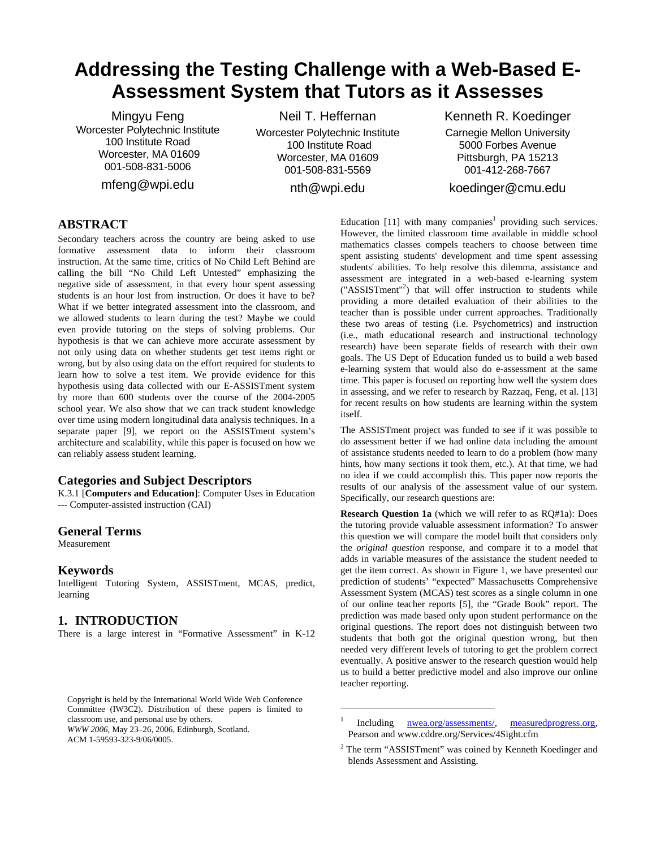# **Addressing the Testing Challenge with a Web-Based E-Assessment System that Tutors as it Assesses**

Mingyu Feng Worcester Polytechnic Institute 100 Institute Road Worcester, MA 01609 001-508-831-5006

mfeng@wpi.edu

Neil T. Heffernan Worcester Polytechnic Institute 100 Institute Road Worcester, MA 01609 001-508-831-5569

nth@wpi.edu

1

### Kenneth R. Koedinger

Carnegie Mellon University 5000 Forbes Avenue Pittsburgh, PA 15213 001-412-268-7667

### koedinger@cmu.edu

### **ABSTRACT**

Secondary teachers across the country are being asked to use formative assessment data to inform their classroom instruction. At the same time, critics of No Child Left Behind are calling the bill "No Child Left Untested" emphasizing the negative side of assessment, in that every hour spent assessing students is an hour lost from instruction. Or does it have to be? What if we better integrated assessment into the classroom, and we allowed students to learn during the test? Maybe we could even provide tutoring on the steps of solving problems. Our hypothesis is that we can achieve more accurate assessment by not only using data on whether students get test items right or wrong, but by also using data on the effort required for students to learn how to solve a test item. We provide evidence for this hypothesis using data collected with our E-ASSISTment system by more than 600 students over the course of the 2004-2005 school year. We also show that we can track student knowledge over time using modern longitudinal data analysis techniques. In a separate paper [9], we report on the ASSISTment system's architecture and scalability, while this paper is focused on how we can reliably assess student learning.

### **Categories and Subject Descriptors**

K.3.1 [**Computers and Education**]: Computer Uses in Education --- Computer-assisted instruction (CAI)

#### **General Terms**

Measurement

#### **Keywords**

Intelligent Tutoring System, ASSISTment, MCAS, predict, learning

### **1. INTRODUCTION**

There is a large interest in "Formative Assessment" in K-12

*WWW 2006,* May 23–26, 2006, Edinburgh, Scotland.

ACM 1-59593-323-9/06/0005.

Education [11] with many companies<sup>1</sup> providing such services. However, the limited classroom time available in middle school mathematics classes compels teachers to choose between time spent assisting students' development and time spent assessing students' abilities. To help resolve this dilemma, assistance and assessment are integrated in a web-based e-learning system ("ASSISTment"<sup>2</sup> ) that will offer instruction to students while providing a more detailed evaluation of their abilities to the teacher than is possible under current approaches. Traditionally these two areas of testing (i.e. Psychometrics) and instruction (i.e., math educational research and instructional technology research) have been separate fields of research with their own goals. The US Dept of Education funded us to build a web based e-learning system that would also do e-assessment at the same time. This paper is focused on reporting how well the system does in assessing, and we refer to research by Razzaq, Feng, et al. [13] for recent results on how students are learning within the system itself.

The ASSISTment project was funded to see if it was possible to do assessment better if we had online data including the amount of assistance students needed to learn to do a problem (how many hints, how many sections it took them, etc.). At that time, we had no idea if we could accomplish this. This paper now reports the results of our analysis of the assessment value of our system. Specifically, our research questions are:

**Research Question 1a** (which we will refer to as RQ#1a): Does the tutoring provide valuable assessment information? To answer this question we will compare the model built that considers only the *original question* response, and compare it to a model that adds in variable measures of the assistance the student needed to get the item correct. As shown in Figure 1, we have presented our prediction of students' "expected" Massachusetts Comprehensive Assessment System (MCAS) test scores as a single column in one of our online teacher reports [5], the "Grade Book" report. The prediction was made based only upon student performance on the original questions. The report does not distinguish between two students that both got the original question wrong, but then needed very different levels of tutoring to get the problem correct eventually. A positive answer to the research question would help us to build a better predictive model and also improve our online teacher reporting.

Copyright is held by the International World Wide Web Conference Committee (IW3C2). Distribution of these papers is limited to classroom use, and personal use by others.

<sup>1</sup> Including nwea.org/assessments/, measuredprogress.org, Pearson and www.cddre.org/Services/4Sight.cfm

<sup>&</sup>lt;sup>2</sup> The term "ASSISTment" was coined by Kenneth Koedinger and blends Assessment and Assisting.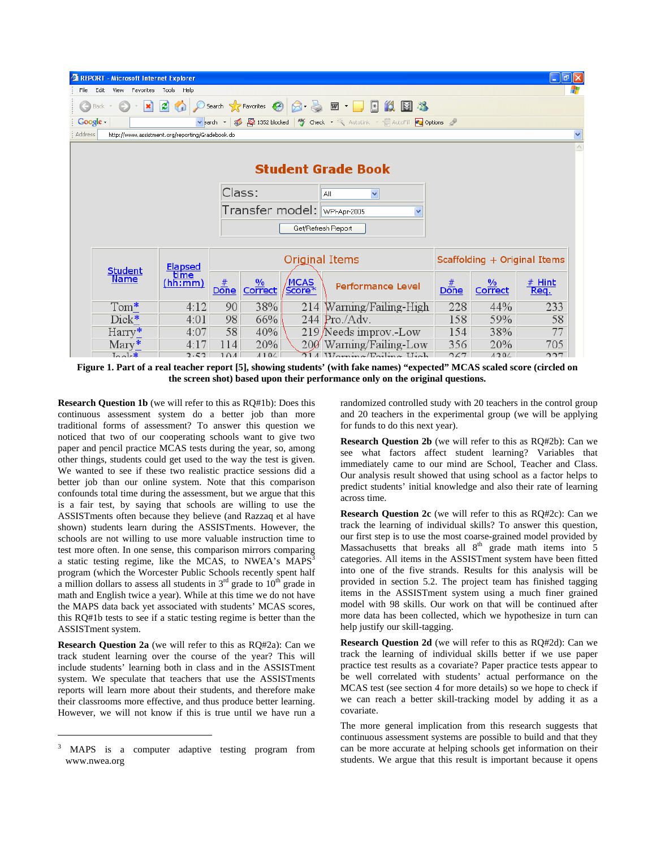|                                              | $\Box$ $\Box$ $\times$<br><b>CAREPORT</b> - Microsoft Internet Explorer                                                                |         |                |                          |                       |                              |                  |                          |                  |
|----------------------------------------------|----------------------------------------------------------------------------------------------------------------------------------------|---------|----------------|--------------------------|-----------------------|------------------------------|------------------|--------------------------|------------------|
| File                                         | Edit<br>Favorites Tools Help<br>View                                                                                                   |         |                |                          |                       |                              |                  |                          |                  |
|                                              | $ \boldsymbol{c} $<br>Search <b>A</b> Favorites <b>(A)</b><br>Ⅲ →<br>医<br>íá.<br>×<br>$R - 6$<br>$\boxtimes$ 28<br>$\bullet$<br>Back - |         |                |                          |                       |                              |                  |                          |                  |
|                                              | Google -<br>v parch v 30 50 1352 blocked 48 Check v & AutoLink v F AutoFill 20 Options                                                 |         |                |                          |                       |                              |                  |                          |                  |
|                                              | <b>Address</b><br>$\checkmark$<br>http://www.assistment.org/reporting/Gradebook.do                                                     |         |                |                          |                       |                              |                  |                          |                  |
|                                              |                                                                                                                                        |         |                |                          |                       |                              |                  |                          |                  |
|                                              | <b>Student Grade Book</b>                                                                                                              |         |                |                          |                       |                              |                  |                          |                  |
|                                              | Class:<br>v<br>All                                                                                                                     |         |                |                          |                       |                              |                  |                          |                  |
| Transfer model: WPI-Apr-2005<br>$\checkmark$ |                                                                                                                                        |         |                |                          |                       |                              |                  |                          |                  |
|                                              | Get/Refresh Report                                                                                                                     |         |                |                          |                       |                              |                  |                          |                  |
|                                              |                                                                                                                                        |         |                |                          |                       |                              |                  |                          |                  |
|                                              | Elapsed<br>Lime<br><b>Student</b>                                                                                                      |         |                | Original Items           |                       | Scaffolding + Original Items |                  |                          |                  |
|                                              | <b>Name</b>                                                                                                                            | (hh:mm) | <b>Done</b>    | $\frac{0}{0}$<br>Correct | <b>MCAS</b><br>Score* | <b>Performance Level</b>     | #<br><b>Done</b> | $\frac{0}{0}$<br>Correct | $#$ Hint<br>Req. |
|                                              | $Tom*$                                                                                                                                 | 4:12    | 90             | 38%                      |                       | 214 Warning/Failing-High     | 228              | 44%                      | 233              |
|                                              | Dick*                                                                                                                                  | 4:01    | 98             | 66%                      |                       | $244$ Pro./Adv.              | 158              | 59%                      | 58               |
|                                              | $\text{Harry*}$                                                                                                                        | 4:07    | 58             | 40%                      |                       | 219 Needs improv.-Low        | 154              | 38%                      | 77               |
|                                              | $\text{Mary}^*$                                                                                                                        | 4:17    | 114            | <b>20%</b>               |                       | 200 Warning/Failing-Low      | 356              | 20%                      | 705              |
|                                              | $I_0$ <sub>o</sub> $\mathbf{k}$                                                                                                        | 2.52    | 1 <sub>0</sub> | A10/2                    |                       | $214$ Werning/Foiling High   | 267              | 120/                     | 227              |

**Figure 1. Part of a real teacher report [5], showing students' (with fake names) "expected" MCAS scaled score (circled on the screen shot) based upon their performance only on the original questions.** 

**Research Question 1b** (we will refer to this as RQ#1b): Does this continuous assessment system do a better job than more traditional forms of assessment? To answer this question we noticed that two of our cooperating schools want to give two paper and pencil practice MCAS tests during the year, so, among other things, students could get used to the way the test is given. We wanted to see if these two realistic practice sessions did a better job than our online system. Note that this comparison confounds total time during the assessment, but we argue that this is a fair test, by saying that schools are willing to use the ASSISTments often because they believe (and Razzaq et al have shown) students learn during the ASSISTments. However, the schools are not willing to use more valuable instruction time to test more often. In one sense, this comparison mirrors comparing a static testing regime, like the MCAS, to NWEA's MAPS<sup>3</sup> program (which the Worcester Public Schools recently spent half a million dollars to assess all students in  $3<sup>rd</sup>$  grade to  $10<sup>th</sup>$  grade in math and English twice a year). While at this time we do not have the MAPS data back yet associated with students' MCAS scores, this RQ#1b tests to see if a static testing regime is better than the ASSISTment system.

**Research Question 2a** (we will refer to this as RQ#2a): Can we track student learning over the course of the year? This will include students' learning both in class and in the ASSISTment system. We speculate that teachers that use the ASSISTments reports will learn more about their students, and therefore make their classrooms more effective, and thus produce better learning. However, we will not know if this is true until we have run a

1

randomized controlled study with 20 teachers in the control group and 20 teachers in the experimental group (we will be applying for funds to do this next year).

**Research Question 2b** (we will refer to this as RQ#2b): Can we see what factors affect student learning? Variables that immediately came to our mind are School, Teacher and Class. Our analysis result showed that using school as a factor helps to predict students' initial knowledge and also their rate of learning across time.

**Research Question 2c** (we will refer to this as RQ#2c): Can we track the learning of individual skills? To answer this question, our first step is to use the most coarse-grained model provided by Massachusetts that breaks all  $8<sup>th</sup>$  grade math items into 5 categories. All items in the ASSISTment system have been fitted into one of the five strands. Results for this analysis will be provided in section 5.2. The project team has finished tagging items in the ASSISTment system using a much finer grained model with 98 skills. Our work on that will be continued after more data has been collected, which we hypothesize in turn can help justify our skill-tagging.

**Research Question 2d** (we will refer to this as RQ#2d): Can we track the learning of individual skills better if we use paper practice test results as a covariate? Paper practice tests appear to be well correlated with students' actual performance on the MCAS test (see section 4 for more details) so we hope to check if we can reach a better skill-tracking model by adding it as a covariate.

The more general implication from this research suggests that continuous assessment systems are possible to build and that they can be more accurate at helping schools get information on their students. We argue that this result is important because it opens

<sup>3</sup> MAPS is a computer adaptive testing program from www.nwea.org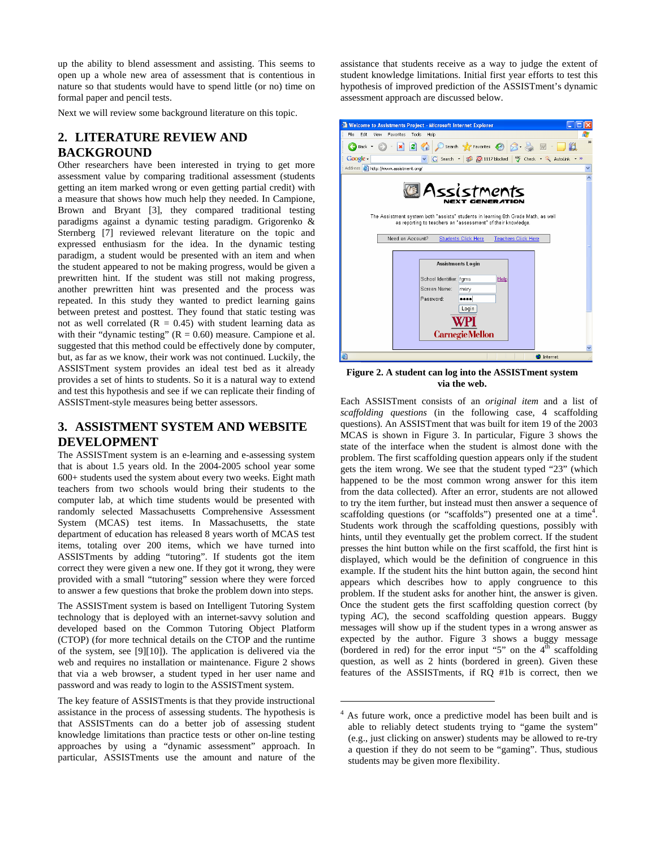up the ability to blend assessment and assisting. This seems to open up a whole new area of assessment that is contentious in nature so that students would have to spend little (or no) time on formal paper and pencil tests.

Next we will review some background literature on this topic.

# **2. LITERATURE REVIEW AND BACKGROUND**

Other researchers have been interested in trying to get more assessment value by comparing traditional assessment (students getting an item marked wrong or even getting partial credit) with a measure that shows how much help they needed. In Campione, Brown and Bryant [3], they compared traditional testing paradigms against a dynamic testing paradigm. Grigorenko & Sternberg [7] reviewed relevant literature on the topic and expressed enthusiasm for the idea. In the dynamic testing paradigm, a student would be presented with an item and when the student appeared to not be making progress, would be given a prewritten hint. If the student was still not making progress, another prewritten hint was presented and the process was repeated. In this study they wanted to predict learning gains between pretest and posttest. They found that static testing was not as well correlated  $(R = 0.45)$  with student learning data as with their "dynamic testing"  $(R = 0.60)$  measure. Campione et al. suggested that this method could be effectively done by computer, but, as far as we know, their work was not continued. Luckily, the ASSISTment system provides an ideal test bed as it already provides a set of hints to students. So it is a natural way to extend and test this hypothesis and see if we can replicate their finding of ASSISTment-style measures being better assessors.

## **3. ASSISTMENT SYSTEM AND WEBSITE DEVELOPMENT**

The ASSISTment system is an e-learning and e-assessing system that is about 1.5 years old. In the 2004-2005 school year some 600+ students used the system about every two weeks. Eight math teachers from two schools would bring their students to the computer lab, at which time students would be presented with randomly selected Massachusetts Comprehensive Assessment System (MCAS) test items. In Massachusetts, the state department of education has released 8 years worth of MCAS test items, totaling over 200 items, which we have turned into ASSISTments by adding "tutoring". If students got the item correct they were given a new one. If they got it wrong, they were provided with a small "tutoring" session where they were forced to answer a few questions that broke the problem down into steps.

The ASSISTment system is based on Intelligent Tutoring System technology that is deployed with an internet-savvy solution and developed based on the Common Tutoring Object Platform (CTOP) (for more technical details on the CTOP and the runtime of the system, see [9][10]). The application is delivered via the web and requires no installation or maintenance. Figure 2 shows that via a web browser, a student typed in her user name and password and was ready to login to the ASSISTment system.

The key feature of ASSISTments is that they provide instructional assistance in the process of assessing students. The hypothesis is that ASSISTments can do a better job of assessing student knowledge limitations than practice tests or other on-line testing approaches by using a "dynamic assessment" approach. In particular, ASSISTments use the amount and nature of the assistance that students receive as a way to judge the extent of student knowledge limitations. Initial first year efforts to test this hypothesis of improved prediction of the ASSISTment's dynamic assessment approach are discussed below.



**Figure 2. A student can log into the ASSISTment system via the web.**

Each ASSISTment consists of an *original item* and a list of *scaffolding questions* (in the following case, 4 scaffolding questions). An ASSISTment that was built for item 19 of the 2003 MCAS is shown in Figure 3. In particular, Figure 3 shows the state of the interface when the student is almost done with the problem. The first scaffolding question appears only if the student gets the item wrong. We see that the student typed "23" (which happened to be the most common wrong answer for this item from the data collected). After an error, students are not allowed to try the item further, but instead must then answer a sequence of scaffolding questions (or "scaffolds") presented one at a time<sup>4</sup>. Students work through the scaffolding questions, possibly with hints, until they eventually get the problem correct. If the student presses the hint button while on the first scaffold, the first hint is displayed, which would be the definition of congruence in this example. If the student hits the hint button again, the second hint appears which describes how to apply congruence to this problem. If the student asks for another hint, the answer is given. Once the student gets the first scaffolding question correct (by typing *AC*), the second scaffolding question appears. Buggy messages will show up if the student types in a wrong answer as expected by the author. Figure 3 shows a buggy message (bordered in red) for the error input "5" on the  $4<sup>th</sup>$  scaffolding question, as well as 2 hints (bordered in green). Given these features of the ASSISTments, if RQ #1b is correct, then we

1

<sup>&</sup>lt;sup>4</sup> As future work, once a predictive model has been built and is able to reliably detect students trying to "game the system" (e.g., just clicking on answer) students may be allowed to re-try a question if they do not seem to be "gaming". Thus, studious students may be given more flexibility.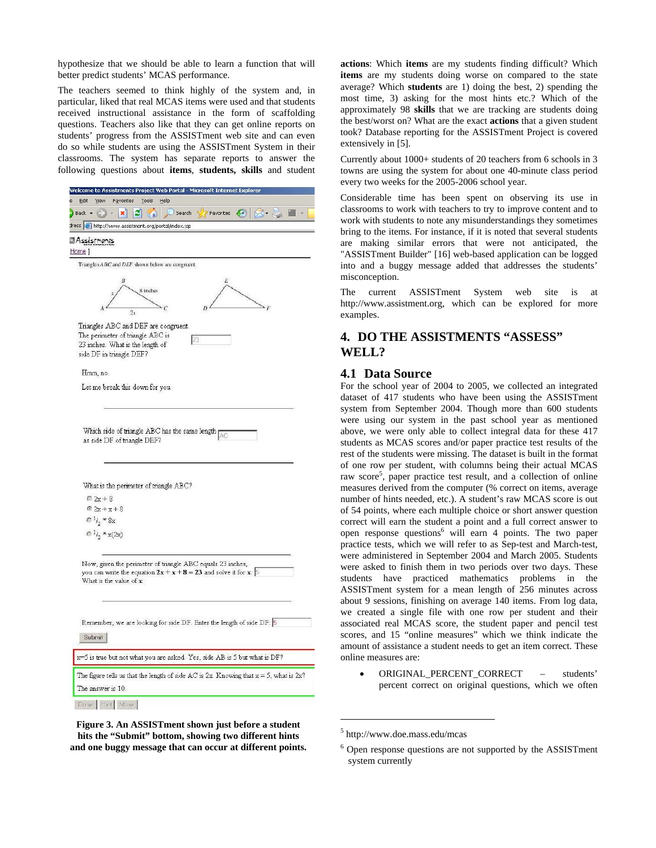hypothesize that we should be able to learn a function that will better predict students' MCAS performance.

The teachers seemed to think highly of the system and, in particular, liked that real MCAS items were used and that students received instructional assistance in the form of scaffolding questions. Teachers also like that they can get online reports on students' progress from the ASSISTment web site and can even do so while students are using the ASSISTment System in their classrooms. The system has separate reports to answer the following questions about **items**, **students, skills** and student

| Welcome to Assistments Project Web Portal - Microsoft Internet Explorer                        |
|------------------------------------------------------------------------------------------------|
| Edit<br>Favorites<br><b>Tools</b><br>View<br>Help                                              |
| e<br>54)<br>$\overline{\phantom{a}}$ Back $\overline{\phantom{a}}$<br>Search<br>×<br>Favorites |
| dress <b>&amp;</b> http://www.assistment.org/portal/index.jsp                                  |
| Assistments<br>Home ]                                                                          |
|                                                                                                |
| Triangles ABC and DEF shown below are congruent.                                               |
|                                                                                                |
| 8 inches                                                                                       |
|                                                                                                |
|                                                                                                |
| Triangles ABC and DEF are congruent.                                                           |
| The perimeter of triangle ABC is<br>23                                                         |
| 23 inches. What is the length of                                                               |
| side DF in triangle DEF?                                                                       |
| Hmm, no.                                                                                       |
| Let me break this down for you.                                                                |
|                                                                                                |
|                                                                                                |
|                                                                                                |
| Which side of triangle ABC has the same length $\overline{AC}$                                 |
| as side DF of triangle DEF?                                                                    |
|                                                                                                |
|                                                                                                |
|                                                                                                |
| What is the perimeter of triangle ABC?                                                         |
| $C2x+8$                                                                                        |
| $@2x+x+8$                                                                                      |
| $C^{1/2}$ * 8x                                                                                 |
|                                                                                                |
| $C^{1/2}$ * x(2x)                                                                              |
|                                                                                                |
| Now, given the perimeter of triangle ABC equals 23 inches,                                     |
| you can write the equation $2x + x + 8 = 23$ and solve it for x. 5                             |
| What is the value of x:                                                                        |
|                                                                                                |
|                                                                                                |
| Remember, we are looking for side DF. Enter the length of side DF: 5                           |
|                                                                                                |
| Submit                                                                                         |
| x=5 is true but not what you are asked. Yes, side AB is 5 but what is DF?                      |
| The figure tells us that the length of side AC is $2x$ . Knowing that $x = 5$ , what is $2x$ ? |
| The answer is 10.                                                                              |
| Done   Hint   More                                                                             |
|                                                                                                |

**Figure 3. An ASSISTment shown just before a student hits the "Submit" bottom, showing two different hints and one buggy message that can occur at different points.**  **actions**: Which **items** are my students finding difficult? Which **items** are my students doing worse on compared to the state average? Which **students** are 1) doing the best, 2) spending the most time, 3) asking for the most hints etc.? Which of the approximately 98 **skills** that we are tracking are students doing the best/worst on? What are the exact **actions** that a given student took? Database reporting for the ASSISTment Project is covered extensively in [5].

Currently about 1000+ students of 20 teachers from 6 schools in 3 towns are using the system for about one 40-minute class period every two weeks for the 2005-2006 school year.

Considerable time has been spent on observing its use in classrooms to work with teachers to try to improve content and to work with students to note any misunderstandings they sometimes bring to the items. For instance, if it is noted that several students are making similar errors that were not anticipated, the "ASSISTment Builder" [16] web-based application can be logged into and a buggy message added that addresses the students' misconception.

The current ASSISTment System web site is at http://www.assistment.org, which can be explored for more examples.

# **4. DO THE ASSISTMENTS "ASSESS" WELL?**

### **4.1 Data Source**

For the school year of 2004 to 2005, we collected an integrated dataset of 417 students who have been using the ASSISTment system from September 2004. Though more than 600 students were using our system in the past school year as mentioned above, we were only able to collect integral data for these 417 students as MCAS scores and/or paper practice test results of the rest of the students were missing. The dataset is built in the format of one row per student, with columns being their actual MCAS raw score<sup>5</sup>, paper practice test result, and a collection of online measures derived from the computer (% correct on items, average number of hints needed, etc.). A student's raw MCAS score is out of 54 points, where each multiple choice or short answer question correct will earn the student a point and a full correct answer to open response questions<sup>6</sup> will earn 4 points. The two paper practice tests, which we will refer to as Sep-test and March-test, were administered in September 2004 and March 2005. Students were asked to finish them in two periods over two days. These students have practiced mathematics problems in the ASSISTment system for a mean length of 256 minutes across about 9 sessions, finishing on average 140 items. From log data, we created a single file with one row per student and their associated real MCAS score, the student paper and pencil test scores, and 15 "online measures" which we think indicate the amount of assistance a student needs to get an item correct. These online measures are:

• ORIGINAL PERCENT CORRECT – students' percent correct on original questions, which we often

1

<sup>5</sup> http://www.doe.mass.edu/mcas

<sup>6</sup> Open response questions are not supported by the ASSISTment system currently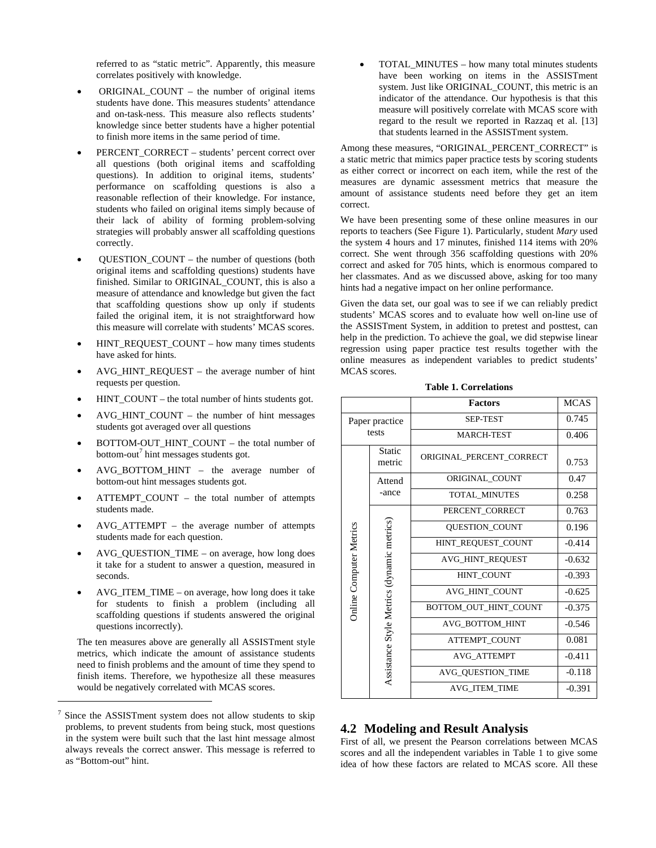referred to as "static metric". Apparently, this measure correlates positively with knowledge.

- ORIGINAL\_COUNT the number of original items students have done. This measures students' attendance and on-task-ness. This measure also reflects students' knowledge since better students have a higher potential to finish more items in the same period of time.
- PERCENT\_CORRECT students' percent correct over all questions (both original items and scaffolding questions). In addition to original items, students' performance on scaffolding questions is also a reasonable reflection of their knowledge. For instance, students who failed on original items simply because of their lack of ability of forming problem-solving strategies will probably answer all scaffolding questions correctly.
- QUESTION\_COUNT the number of questions (both original items and scaffolding questions) students have finished. Similar to ORIGINAL\_COUNT, this is also a measure of attendance and knowledge but given the fact that scaffolding questions show up only if students failed the original item, it is not straightforward how this measure will correlate with students' MCAS scores.
- HINT\_REQUEST\_COUNT how many times students have asked for hints.
- AVG\_HINT\_REQUEST the average number of hint requests per question.
- HINT\_COUNT the total number of hints students got.
- AVG\_HINT\_COUNT the number of hint messages students got averaged over all questions
- BOTTOM-OUT\_HINT\_COUNT the total number of bottom-out<sup>7</sup> hint messages students got.
- AVG\_BOTTOM\_HINT the average number of bottom-out hint messages students got.
- ATTEMPT COUNT the total number of attempts students made.
- AVG\_ATTEMPT the average number of attempts students made for each question.
- AVG\_QUESTION\_TIME on average, how long does it take for a student to answer a question, measured in seconds.
- AVG\_ITEM\_TIME on average, how long does it take for students to finish a problem (including all scaffolding questions if students answered the original questions incorrectly).

The ten measures above are generally all ASSISTment style metrics, which indicate the amount of assistance students need to finish problems and the amount of time they spend to finish items. Therefore, we hypothesize all these measures would be negatively correlated with MCAS scores.

 $\overline{a}$ 

• TOTAL\_MINUTES – how many total minutes students have been working on items in the ASSISTment system. Just like ORIGINAL\_COUNT, this metric is an indicator of the attendance. Our hypothesis is that this measure will positively correlate with MCAS score with regard to the result we reported in Razzaq et al. [13] that students learned in the ASSISTment system.

Among these measures, "ORIGINAL\_PERCENT\_CORRECT" is a static metric that mimics paper practice tests by scoring students as either correct or incorrect on each item, while the rest of the measures are dynamic assessment metrics that measure the amount of assistance students need before they get an item correct.

We have been presenting some of these online measures in our reports to teachers (See Figure 1). Particularly, student *Mary* used the system 4 hours and 17 minutes, finished 114 items with 20% correct. She went through 356 scaffolding questions with 20% correct and asked for 705 hints, which is enormous compared to her classmates. And as we discussed above, asking for too many hints had a negative impact on her online performance.

Given the data set, our goal was to see if we can reliably predict students' MCAS scores and to evaluate how well on-line use of the ASSISTment System, in addition to pretest and posttest, can help in the prediction. To achieve the goal, we did stepwise linear regression using paper practice test results together with the online measures as independent variables to predict students' MCAS scores.

|                         |                                            | <b>Factors</b>           | <b>MCAS</b> |
|-------------------------|--------------------------------------------|--------------------------|-------------|
| Paper practice          |                                            | <b>SEP-TEST</b>          | 0.745       |
| tests                   |                                            | <b>MARCH-TEST</b>        | 0.406       |
|                         | Static<br>metric                           | ORIGINAL PERCENT CORRECT | 0.753       |
|                         | Attend                                     | ORIGINAL COUNT           | 0.47        |
|                         | -ance                                      | <b>TOTAL MINUTES</b>     | 0.258       |
|                         |                                            | PERCENT CORRECT          | 0.763       |
|                         |                                            | <b>OUESTION COUNT</b>    | 0.196       |
|                         |                                            | HINT REQUEST COUNT       | $-0.414$    |
|                         |                                            | AVG_HINT_REQUEST         | $-0.632$    |
|                         |                                            | <b>HINT COUNT</b>        | $-0.393$    |
|                         |                                            | AVG HINT COUNT           | $-0.625$    |
| Online Computer Metrics | Assistance Style Metrics (dynamic metrics) | BOTTOM OUT HINT COUNT    | $-0.375$    |
|                         |                                            | AVG BOTTOM HINT          | $-0.546$    |
|                         |                                            | <b>ATTEMPT COUNT</b>     | 0.081       |
|                         |                                            | <b>AVG ATTEMPT</b>       | $-0.411$    |
|                         |                                            | AVG_QUESTION_TIME        | $-0.118$    |
|                         |                                            | AVG ITEM TIME            | $-0.391$    |

**Table 1. Correlations** 

### **4.2 Modeling and Result Analysis**

First of all, we present the Pearson correlations between MCAS scores and all the independent variables in Table 1 to give some idea of how these factors are related to MCAS score. All these

<sup>7</sup> Since the ASSISTment system does not allow students to skip problems, to prevent students from being stuck, most questions in the system were built such that the last hint message almost always reveals the correct answer. This message is referred to as "Bottom-out" hint.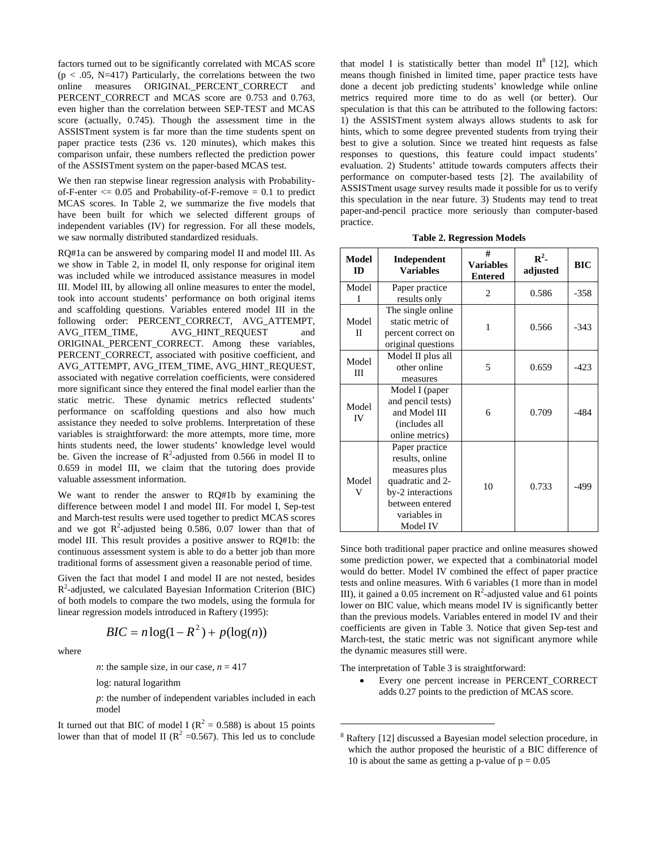factors turned out to be significantly correlated with MCAS score  $(p < .05, N=417)$  Particularly, the correlations between the two online measures ORIGINAL\_PERCENT\_CORRECT and PERCENT CORRECT and MCAS score are 0.753 and 0.763, even higher than the correlation between SEP-TEST and MCAS score (actually, 0.745). Though the assessment time in the ASSISTment system is far more than the time students spent on paper practice tests (236 vs. 120 minutes), which makes this comparison unfair, these numbers reflected the prediction power of the ASSISTment system on the paper-based MCAS test.

We then ran stepwise linear regression analysis with Probabilityof-F-enter  $\leq$  0.05 and Probability-of-F-remove = 0.1 to predict MCAS scores. In Table 2, we summarize the five models that have been built for which we selected different groups of independent variables (IV) for regression. For all these models, we saw normally distributed standardized residuals.

RQ#1a can be answered by comparing model II and model III. As we show in Table 2, in model II, only response for original item was included while we introduced assistance measures in model III. Model III, by allowing all online measures to enter the model, took into account students' performance on both original items and scaffolding questions. Variables entered model III in the following order: PERCENT\_CORRECT, AVG\_ATTEMPT, AVG\_ITEM\_TIME, AVG\_HINT\_REQUEST and ORIGINAL\_PERCENT\_CORRECT. Among these variables, PERCENT\_CORRECT, associated with positive coefficient, and AVG\_ATTEMPT, AVG\_ITEM\_TIME, AVG\_HINT\_REQUEST, associated with negative correlation coefficients, were considered more significant since they entered the final model earlier than the static metric. These dynamic metrics reflected students' performance on scaffolding questions and also how much assistance they needed to solve problems. Interpretation of these variables is straightforward: the more attempts, more time, more hints students need, the lower students' knowledge level would be. Given the increase of  $R^2$ -adjusted from 0.566 in model II to 0.659 in model III, we claim that the tutoring does provide valuable assessment information.

We want to render the answer to RQ#1b by examining the difference between model I and model III. For model I, Sep-test and March-test results were used together to predict MCAS scores and we got  $R^2$ -adjusted being 0.586, 0.07 lower than that of model III. This result provides a positive answer to RQ#1b: the continuous assessment system is able to do a better job than more traditional forms of assessment given a reasonable period of time.

Given the fact that model I and model II are not nested, besides  $R<sup>2</sup>$ -adjusted, we calculated Bayesian Information Criterion (BIC) of both models to compare the two models, using the formula for linear regression models introduced in Raftery (1995):

$$
BIC = n\log(1 - R^2) + p(\log(n))
$$

where

*n*: the sample size, in our case,  $n = 417$ 

log: natural logarithm

*p*: the number of independent variables included in each model

It turned out that BIC of model I ( $R^2 = 0.588$ ) is about 15 points lower than that of model II ( $\mathbb{R}^2$  =0.567). This led us to conclude

that model I is statistically better than model  $II^8$  [12], which means though finished in limited time, paper practice tests have done a decent job predicting students' knowledge while online metrics required more time to do as well (or better). Our speculation is that this can be attributed to the following factors: 1) the ASSISTment system always allows students to ask for hints, which to some degree prevented students from trying their best to give a solution. Since we treated hint requests as false responses to questions, this feature could impact students' evaluation. 2) Students' attitude towards computers affects their performance on computer-based tests [2]. The availability of ASSISTment usage survey results made it possible for us to verify this speculation in the near future. 3) Students may tend to treat paper-and-pencil practice more seriously than computer-based practice.

| <b>Table 2. Regression Models</b> |  |
|-----------------------------------|--|
|-----------------------------------|--|

| <b>Model</b><br>ID | Independent<br><b>Variables</b>                                                                                                            | #<br><b>Variables</b><br><b>Entered</b> | $\mathbb{R}^2$ -<br>adjusted | <b>BIC</b> |
|--------------------|--------------------------------------------------------------------------------------------------------------------------------------------|-----------------------------------------|------------------------------|------------|
| Model<br>T         | Paper practice<br>results only                                                                                                             | $\mathfrak{D}$                          | 0.586                        | $-358$     |
| Model<br>П         | The single online<br>static metric of<br>percent correct on<br>original questions                                                          | 1                                       | 0.566                        | $-343$     |
| Model<br>Ш         | Model II plus all<br>other online<br>measures                                                                                              | 5                                       | 0.659                        | $-423$     |
| Model<br>IV        | Model I (paper<br>and pencil tests)<br>and Model III<br>(includes all<br>online metrics)                                                   | 6                                       | 0.709                        | $-484$     |
| Model<br>v         | Paper practice<br>results, online<br>measures plus<br>quadratic and 2-<br>by-2 interactions<br>between entered<br>variables in<br>Model IV | 10                                      | 0.733                        | $-499$     |

Since both traditional paper practice and online measures showed some prediction power, we expected that a combinatorial model would do better. Model IV combined the effect of paper practice tests and online measures. With 6 variables (1 more than in model III), it gained a 0.05 increment on  $R^2$ -adjusted value and 61 points lower on BIC value, which means model IV is significantly better than the previous models. Variables entered in model IV and their coefficients are given in Table 3. Notice that given Sep-test and March-test, the static metric was not significant anymore while the dynamic measures still were.

The interpretation of Table 3 is straightforward:

 $\overline{a}$ 

• Every one percent increase in PERCENT\_CORRECT adds 0.27 points to the prediction of MCAS score.

<sup>8</sup> Raftery [12] discussed a Bayesian model selection procedure, in which the author proposed the heuristic of a BIC difference of 10 is about the same as getting a p-value of  $p = 0.05$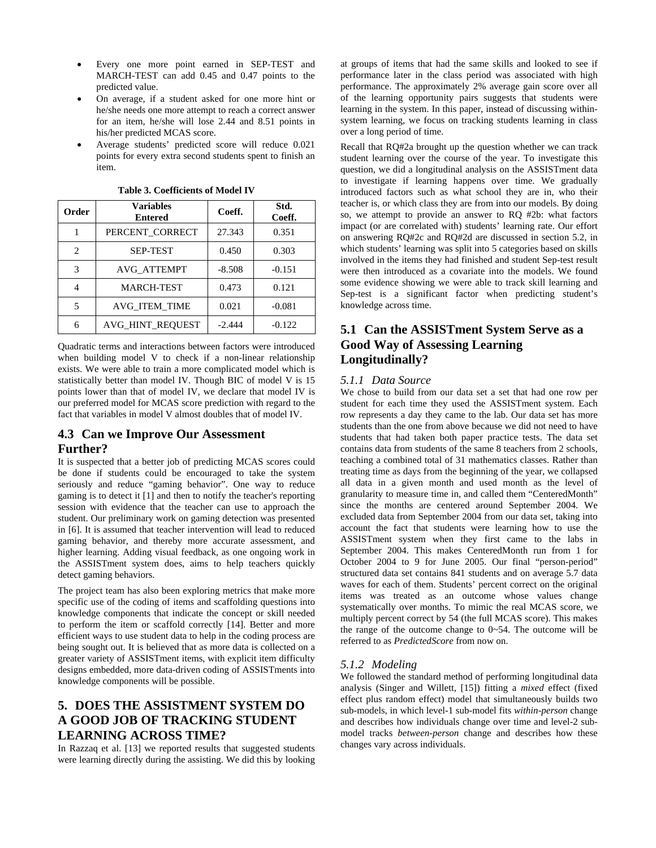- Every one more point earned in SEP-TEST and MARCH-TEST can add 0.45 and 0.47 points to the predicted value.
- On average, if a student asked for one more hint or he/she needs one more attempt to reach a correct answer for an item, he/she will lose 2.44 and 8.51 points in his/her predicted MCAS score.
- Average students' predicted score will reduce 0.021 points for every extra second students spent to finish an item.

| Order                       | <b>Variables</b><br><b>Entered</b> | Coeff.   | Std.<br>Coeff. |
|-----------------------------|------------------------------------|----------|----------------|
|                             | PERCENT_CORRECT                    | 27.343   | 0.351          |
| $\mathcal{D}_{\mathcal{L}}$ | <b>SEP-TEST</b>                    | 0.450    | 0.303          |
| 3                           | <b>AVG ATTEMPT</b>                 | $-8.508$ | $-0.151$       |
| 4                           | <b>MARCH-TEST</b>                  | 0.473    | 0.121          |
| 5                           | AVG ITEM TIME                      | 0.021    | $-0.081$       |
| 6                           | AVG HINT REQUEST                   | $-2.444$ | $-0.122$       |

**Table 3. Coefficients of Model IV** 

Quadratic terms and interactions between factors were introduced when building model V to check if a non-linear relationship exists. We were able to train a more complicated model which is statistically better than model IV. Though BIC of model V is 15 points lower than that of model IV, we declare that model IV is our preferred model for MCAS score prediction with regard to the fact that variables in model V almost doubles that of model IV.

### **4.3 Can we Improve Our Assessment Further?**

It is suspected that a better job of predicting MCAS scores could be done if students could be encouraged to take the system seriously and reduce "gaming behavior". One way to reduce gaming is to detect it [1] and then to notify the teacher's reporting session with evidence that the teacher can use to approach the student. Our preliminary work on gaming detection was presented in [6]. It is assumed that teacher intervention will lead to reduced gaming behavior, and thereby more accurate assessment, and higher learning. Adding visual feedback, as one ongoing work in the ASSISTment system does, aims to help teachers quickly detect gaming behaviors.

The project team has also been exploring metrics that make more specific use of the coding of items and scaffolding questions into knowledge components that indicate the concept or skill needed to perform the item or scaffold correctly [14]. Better and more efficient ways to use student data to help in the coding process are being sought out. It is believed that as more data is collected on a greater variety of ASSISTment items, with explicit item difficulty designs embedded, more data-driven coding of ASSISTments into knowledge components will be possible.

# **5. DOES THE ASSISTMENT SYSTEM DO A GOOD JOB OF TRACKING STUDENT LEARNING ACROSS TIME?**

In Razzaq et al. [13] we reported results that suggested students were learning directly during the assisting. We did this by looking at groups of items that had the same skills and looked to see if performance later in the class period was associated with high performance. The approximately 2% average gain score over all of the learning opportunity pairs suggests that students were learning in the system. In this paper, instead of discussing withinsystem learning, we focus on tracking students learning in class over a long period of time.

Recall that RQ#2a brought up the question whether we can track student learning over the course of the year. To investigate this question, we did a longitudinal analysis on the ASSISTment data to investigate if learning happens over time. We gradually introduced factors such as what school they are in, who their teacher is, or which class they are from into our models. By doing so, we attempt to provide an answer to RQ #2b: what factors impact (or are correlated with) students' learning rate. Our effort on answering RQ#2c and RQ#2d are discussed in section 5.2, in which students' learning was split into 5 categories based on skills involved in the items they had finished and student Sep-test result were then introduced as a covariate into the models. We found some evidence showing we were able to track skill learning and Sep-test is a significant factor when predicting student's knowledge across time.

# **5.1 Can the ASSISTment System Serve as a Good Way of Assessing Learning Longitudinally?**

### *5.1.1 Data Source*

We chose to build from our data set a set that had one row per student for each time they used the ASSISTment system. Each row represents a day they came to the lab. Our data set has more students than the one from above because we did not need to have students that had taken both paper practice tests. The data set contains data from students of the same 8 teachers from 2 schools, teaching a combined total of 31 mathematics classes. Rather than treating time as days from the beginning of the year, we collapsed all data in a given month and used month as the level of granularity to measure time in, and called them "CenteredMonth" since the months are centered around September 2004. We excluded data from September 2004 from our data set, taking into account the fact that students were learning how to use the ASSISTment system when they first came to the labs in September 2004. This makes CenteredMonth run from 1 for October 2004 to 9 for June 2005. Our final "person-period" structured data set contains 841 students and on average 5.7 data waves for each of them. Students' percent correct on the original items was treated as an outcome whose values change systematically over months. To mimic the real MCAS score, we multiply percent correct by 54 (the full MCAS score). This makes the range of the outcome change to  $0 \sim 54$ . The outcome will be referred to as *PredictedScore* from now on.

### *5.1.2 Modeling*

We followed the standard method of performing longitudinal data analysis (Singer and Willett, [15]) fitting a *mixed* effect (fixed effect plus random effect) model that simultaneously builds two sub-models, in which level-1 sub-model fits *within-person* change and describes how individuals change over time and level-2 submodel tracks *between-person* change and describes how these changes vary across individuals.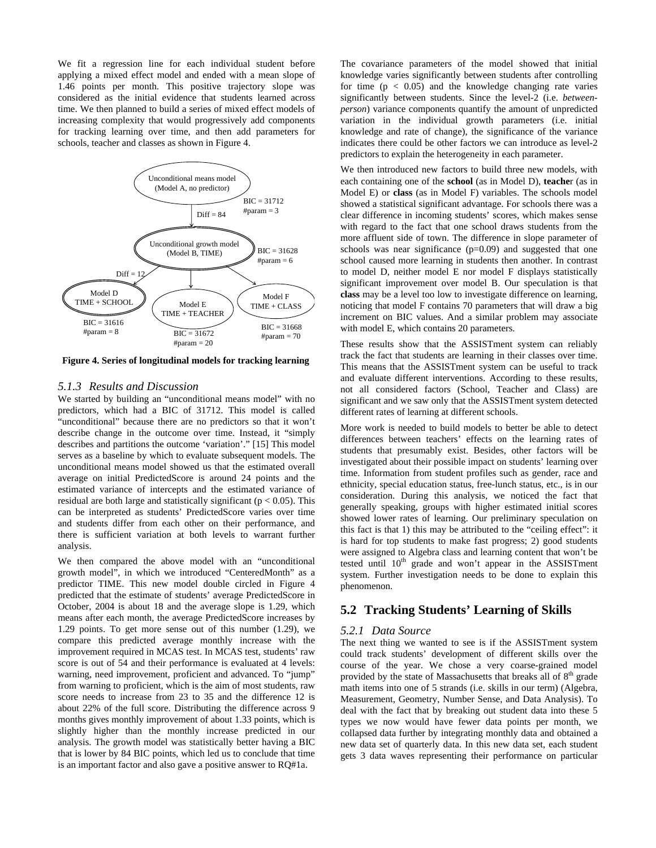We fit a regression line for each individual student before applying a mixed effect model and ended with a mean slope of 1.46 points per month. This positive trajectory slope was considered as the initial evidence that students learned across time. We then planned to build a series of mixed effect models of increasing complexity that would progressively add components for tracking learning over time, and then add parameters for schools, teacher and classes as shown in Figure 4.



**Figure 4. Series of longitudinal models for tracking learning**

#### *5.1.3 Results and Discussion*

We started by building an "unconditional means model" with no predictors, which had a BIC of 31712. This model is called "unconditional" because there are no predictors so that it won't describe change in the outcome over time. Instead, it "simply describes and partitions the outcome 'variation'." [15] This model serves as a baseline by which to evaluate subsequent models. The unconditional means model showed us that the estimated overall average on initial PredictedScore is around 24 points and the estimated variance of intercepts and the estimated variance of residual are both large and statistically significant ( $p < 0.05$ ). This can be interpreted as students' PredictedScore varies over time and students differ from each other on their performance, and there is sufficient variation at both levels to warrant further analysis.

We then compared the above model with an "unconditional growth model", in which we introduced "CenteredMonth" as a predictor TIME. This new model double circled in Figure 4 predicted that the estimate of students' average PredictedScore in October, 2004 is about 18 and the average slope is 1.29, which means after each month, the average PredictedScore increases by 1.29 points. To get more sense out of this number (1.29), we compare this predicted average monthly increase with the improvement required in MCAS test. In MCAS test, students' raw score is out of 54 and their performance is evaluated at 4 levels: warning, need improvement, proficient and advanced. To "jump" from warning to proficient, which is the aim of most students, raw score needs to increase from 23 to 35 and the difference 12 is about 22% of the full score. Distributing the difference across 9 months gives monthly improvement of about 1.33 points, which is slightly higher than the monthly increase predicted in our analysis. The growth model was statistically better having a BIC that is lower by 84 BIC points, which led us to conclude that time is an important factor and also gave a positive answer to RQ#1a.

The covariance parameters of the model showed that initial knowledge varies significantly between students after controlling for time  $(p < 0.05)$  and the knowledge changing rate varies significantly between students. Since the level-2 (i.e. *betweenperson*) variance components quantify the amount of unpredicted variation in the individual growth parameters (i.e. initial knowledge and rate of change), the significance of the variance indicates there could be other factors we can introduce as level-2 predictors to explain the heterogeneity in each parameter.

We then introduced new factors to build three new models, with each containing one of the **school** (as in Model D), **teache**r (as in Model E) or **class** (as in Model F) variables. The schools model showed a statistical significant advantage. For schools there was a clear difference in incoming students' scores, which makes sense with regard to the fact that one school draws students from the more affluent side of town. The difference in slope parameter of schools was near significance  $(p=0.09)$  and suggested that one school caused more learning in students then another. In contrast to model D, neither model E nor model F displays statistically significant improvement over model B. Our speculation is that **class** may be a level too low to investigate difference on learning, noticing that model F contains 70 parameters that will draw a big increment on BIC values. And a similar problem may associate with model E, which contains 20 parameters.

These results show that the ASSISTment system can reliably track the fact that students are learning in their classes over time. This means that the ASSISTment system can be useful to track and evaluate different interventions. According to these results, not all considered factors (School, Teacher and Class) are significant and we saw only that the ASSISTment system detected different rates of learning at different schools.

More work is needed to build models to better be able to detect differences between teachers' effects on the learning rates of students that presumably exist. Besides, other factors will be investigated about their possible impact on students' learning over time. Information from student profiles such as gender, race and ethnicity, special education status, free-lunch status, etc., is in our consideration. During this analysis, we noticed the fact that generally speaking, groups with higher estimated initial scores showed lower rates of learning. Our preliminary speculation on this fact is that 1) this may be attributed to the "ceiling effect": it is hard for top students to make fast progress; 2) good students were assigned to Algebra class and learning content that won't be tested until  $10^{th}$  grade and won't appear in the ASSISTment system. Further investigation needs to be done to explain this phenomenon.

### **5.2 Tracking Students' Learning of Skills**

#### *5.2.1 Data Source*

The next thing we wanted to see is if the ASSISTment system could track students' development of different skills over the course of the year. We chose a very coarse-grained model provided by the state of Massachusetts that breaks all of  $8<sup>th</sup>$  grade math items into one of 5 strands (i.e. skills in our term) (Algebra, Measurement, Geometry, Number Sense, and Data Analysis). To deal with the fact that by breaking out student data into these 5 types we now would have fewer data points per month, we collapsed data further by integrating monthly data and obtained a new data set of quarterly data. In this new data set, each student gets 3 data waves representing their performance on particular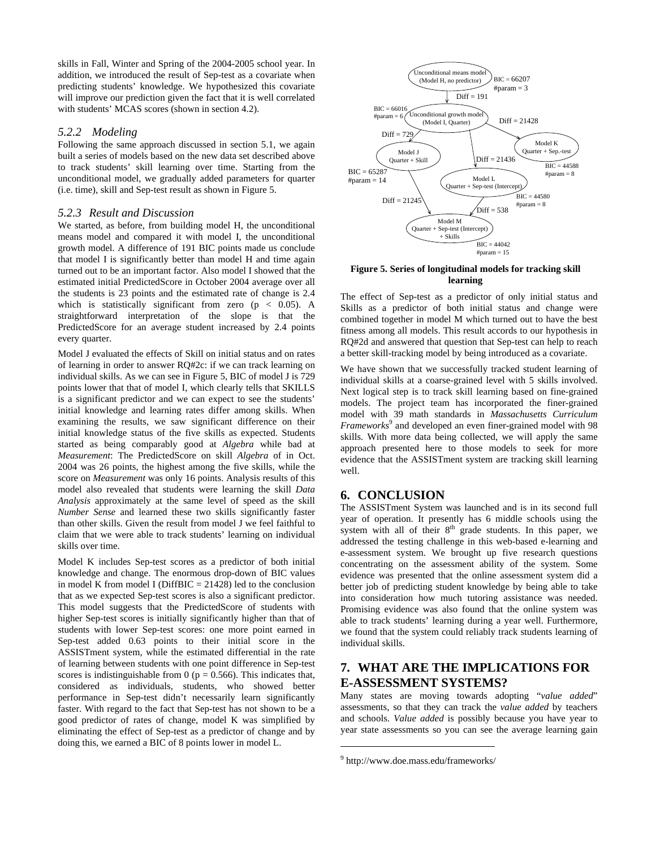skills in Fall, Winter and Spring of the 2004-2005 school year. In addition, we introduced the result of Sep-test as a covariate when predicting students' knowledge. We hypothesized this covariate will improve our prediction given the fact that it is well correlated with students' MCAS scores (shown in section 4.2).

#### *5.2.2 Modeling*

Following the same approach discussed in section 5.1, we again built a series of models based on the new data set described above to track students' skill learning over time. Starting from the unconditional model, we gradually added parameters for quarter (i.e. time), skill and Sep-test result as shown in Figure 5.

### *5.2.3 Result and Discussion*

We started, as before, from building model H, the unconditional means model and compared it with model I, the unconditional growth model. A difference of 191 BIC points made us conclude that model I is significantly better than model H and time again turned out to be an important factor. Also model I showed that the estimated initial PredictedScore in October 2004 average over all the students is 23 points and the estimated rate of change is 2.4 which is statistically significant from zero ( $p < 0.05$ ). A straightforward interpretation of the slope is that the PredictedScore for an average student increased by 2.4 points every quarter.

Model J evaluated the effects of Skill on initial status and on rates of learning in order to answer RQ#2c: if we can track learning on individual skills. As we can see in Figure 5, BIC of model J is 729 points lower that that of model I, which clearly tells that SKILLS is a significant predictor and we can expect to see the students' initial knowledge and learning rates differ among skills. When examining the results, we saw significant difference on their initial knowledge status of the five skills as expected. Students started as being comparably good at *Algebra* while bad at *Measurement*: The PredictedScore on skill *Algebra* of in Oct. 2004 was 26 points, the highest among the five skills, while the score on *Measurement* was only 16 points. Analysis results of this model also revealed that students were learning the skill *Data Analysis* approximately at the same level of speed as the skill *Number Sense* and learned these two skills significantly faster than other skills. Given the result from model J we feel faithful to claim that we were able to track students' learning on individual skills over time.

Model K includes Sep-test scores as a predictor of both initial knowledge and change. The enormous drop-down of BIC values in model K from model I (DiffBIC  $= 21428$ ) led to the conclusion that as we expected Sep-test scores is also a significant predictor. This model suggests that the PredictedScore of students with higher Sep-test scores is initially significantly higher than that of students with lower Sep-test scores: one more point earned in Sep-test added 0.63 points to their initial score in the ASSISTment system, while the estimated differential in the rate of learning between students with one point difference in Sep-test scores is indistinguishable from 0 ( $p = 0.566$ ). This indicates that, considered as individuals, students, who showed better performance in Sep-test didn't necessarily learn significantly faster. With regard to the fact that Sep-test has not shown to be a good predictor of rates of change, model K was simplified by eliminating the effect of Sep-test as a predictor of change and by doing this, we earned a BIC of 8 points lower in model L.



#### **Figure 5. Series of longitudinal models for tracking skill learning**

The effect of Sep-test as a predictor of only initial status and Skills as a predictor of both initial status and change were combined together in model M which turned out to have the best fitness among all models. This result accords to our hypothesis in RQ#2d and answered that question that Sep-test can help to reach a better skill-tracking model by being introduced as a covariate.

We have shown that we successfully tracked student learning of individual skills at a coarse-grained level with 5 skills involved. Next logical step is to track skill learning based on fine-grained models. The project team has incorporated the finer-grained model with 39 math standards in *Massachusetts Curriculum Frameworks*<sup>9</sup> and developed an even finer-grained model with 98 skills. With more data being collected, we will apply the same approach presented here to those models to seek for more evidence that the ASSISTment system are tracking skill learning well.

### **6. CONCLUSION**

The ASSISTment System was launched and is in its second full year of operation. It presently has 6 middle schools using the system with all of their  $8<sup>th</sup>$  grade students. In this paper, we addressed the testing challenge in this web-based e-learning and e-assessment system. We brought up five research questions concentrating on the assessment ability of the system. Some evidence was presented that the online assessment system did a better job of predicting student knowledge by being able to take into consideration how much tutoring assistance was needed. Promising evidence was also found that the online system was able to track students' learning during a year well. Furthermore, we found that the system could reliably track students learning of individual skills.

# **7. WHAT ARE THE IMPLICATIONS FOR E-ASSESSMENT SYSTEMS?**

Many states are moving towards adopting "*value added*" assessments, so that they can track the *value added* by teachers and schools. *Value added* is possibly because you have year to year state assessments so you can see the average learning gain

1

<sup>9</sup> http://www.doe.mass.edu/frameworks/